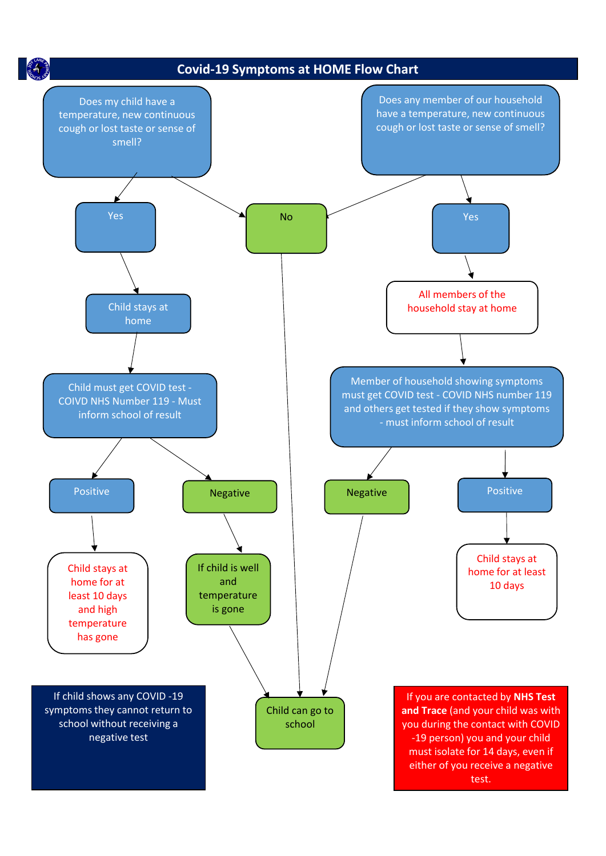